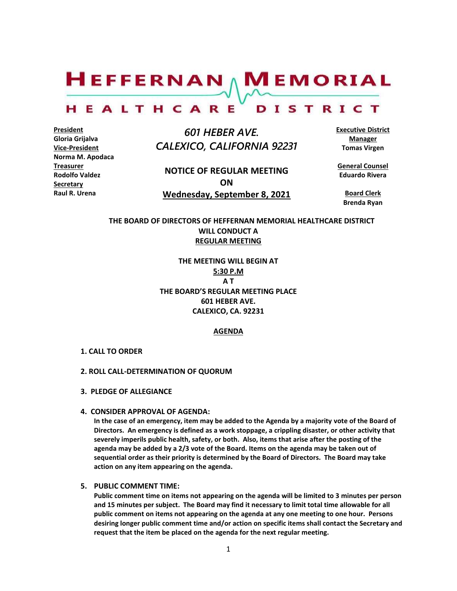

#### HEALTHCARE DISTRICT

**President Gloria Grijalva Vice-President Norma M. Apodaca Treasurer Rodolfo Valdez Secretary Raul R. Urena** 

 *601 HEBER AVE. CALEXICO, CALIFORNIA 92231*

**NOTICE OF REGULAR MEETING ON Wednesday, September 8, 2021** **Executive District Manager Tomas Virgen**

**General Counsel Eduardo Rivera**

**Board Clerk Brenda Ryan**

**THE BOARD OF DIRECTORS OF HEFFERNAN MEMORIAL HEALTHCARE DISTRICT WILL CONDUCT A REGULAR MEETING**

> **THE MEETING WILL BEGIN AT 5:30 P.M A T THE BOARD'S REGULAR MEETING PLACE 601 HEBER AVE. CALEXICO, CA. 92231**

# **AGENDA**

- **1. CALL TO ORDER**
- **2. ROLL CALL-DETERMINATION OF QUORUM**
- **3. PLEDGE OF ALLEGIANCE**
- **4. CONSIDER APPROVAL OF AGENDA:**

**In the case of an emergency, item may be added to the Agenda by a majority vote of the Board of Directors. An emergency is defined as a work stoppage, a crippling disaster, or other activity that severely imperils public health, safety, or both. Also, items that arise after the posting of the agenda may be added by a 2/3 vote of the Board. Items on the agenda may be taken out of sequential order as their priority is determined by the Board of Directors. The Board may take action on any item appearing on the agenda.**

### **5. PUBLIC COMMENT TIME:**

**Public comment time on items not appearing on the agenda will be limited to 3 minutes per person and 15 minutes per subject. The Board may find it necessary to limit total time allowable for all public comment on items not appearing on the agenda at any one meeting to one hour. Persons desiring longer public comment time and/or action on specific items shall contact the Secretary and request that the item be placed on the agenda for the next regular meeting.**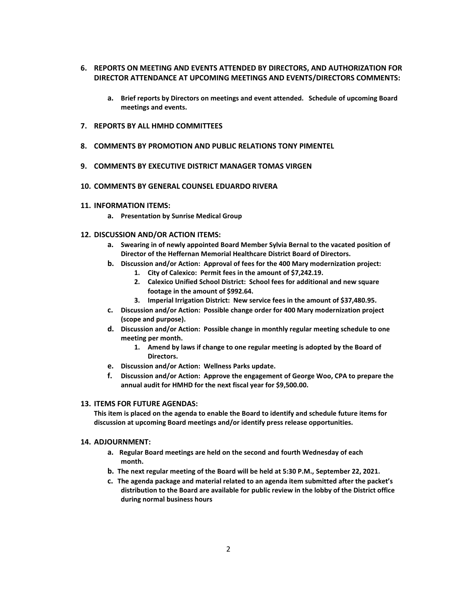- **6. REPORTS ON MEETING AND EVENTS ATTENDED BY DIRECTORS, AND AUTHORIZATION FOR DIRECTOR ATTENDANCE AT UPCOMING MEETINGS AND EVENTS/DIRECTORS COMMENTS:**
	- **a. Brief reports by Directors on meetings and event attended. Schedule of upcoming Board meetings and events.**
- **7. REPORTS BY ALL HMHD COMMITTEES**
- **8. COMMENTS BY PROMOTION AND PUBLIC RELATIONS TONY PIMENTEL**
- **9. COMMENTS BY EXECUTIVE DISTRICT MANAGER TOMAS VIRGEN**
- **10. COMMENTS BY GENERAL COUNSEL EDUARDO RIVERA**
- **11. INFORMATION ITEMS:**
	- **a. Presentation by Sunrise Medical Group**
- **12. DISCUSSION AND/OR ACTION ITEMS:**
	- **a. Swearing in of newly appointed Board Member Sylvia Bernal to the vacated position of Director of the Heffernan Memorial Healthcare District Board of Directors.**
	- **b. Discussion and/or Action: Approval of fees for the 400 Mary modernization project:**
		- **1. City of Calexico: Permit fees in the amount of \$7,242.19.**
		- **2. Calexico Unified School District: School fees for additional and new square footage in the amount of \$992.64.**
		- **3. Imperial Irrigation District: New service fees in the amount of \$37,480.95.**
	- **c. Discussion and/or Action: Possible change order for 400 Mary modernization project (scope and purpose).**
	- **d. Discussion and/or Action: Possible change in monthly regular meeting schedule to one meeting per month.** 
		- **1. Amend by laws if change to one regular meeting is adopted by the Board of Directors.**
	- **e. Discussion and/or Action: Wellness Parks update.**
	- **f. Discussion and/or Action: Approve the engagement of George Woo, CPA to prepare the annual audit for HMHD for the next fiscal year for \$9,500.00.**

### **13. ITEMS FOR FUTURE AGENDAS:**

**This item is placed on the agenda to enable the Board to identify and schedule future items for discussion at upcoming Board meetings and/or identify press release opportunities.**

### **14. ADJOURNMENT:**

- **a. Regular Board meetings are held on the second and fourth Wednesday of each month.**
- **b. The next regular meeting of the Board will be held at 5:30 P.M., September 22, 2021.**
- **c. The agenda package and material related to an agenda item submitted after the packet's distribution to the Board are available for public review in the lobby of the District office during normal business hours**